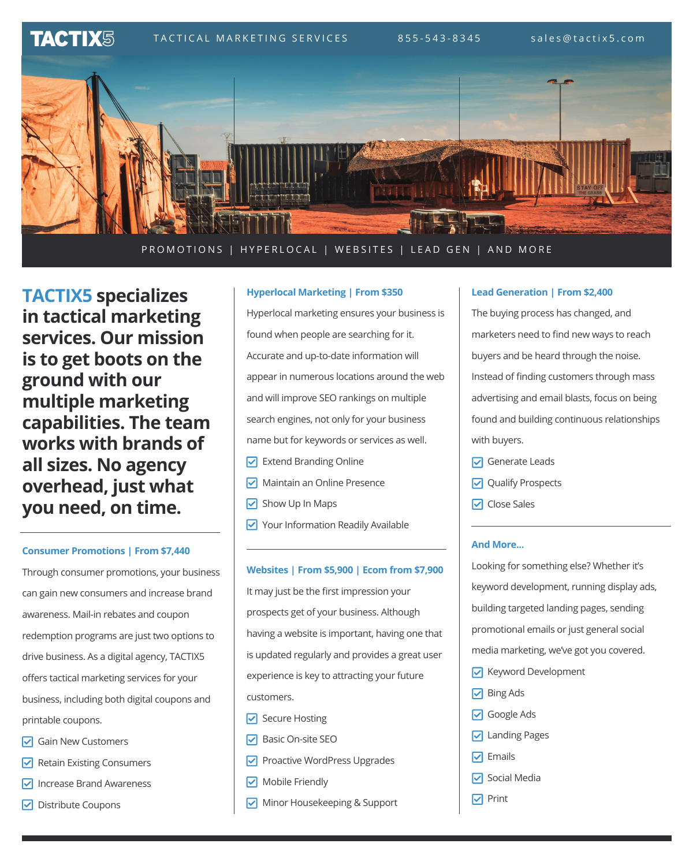$TACT IX$  $\overline{\mathbb{S}}$  TACTICAL MARKETING SERVICES 855-543-8345 sales@tactix5.com



PROMOTIONS | HYPERLOCAL | WEBSITES | LEAD GEN | AND MORE

**TACTIX5 specializes in tactical marketing services. Our mission is to get boots on the ground with our multiple marketing capabilities. The team works with brands of all sizes. No agency overhead, just what you need, on time.** 

# **Consumer Promotions | From \$7,440**

Through consumer promotions, your business can gain new consumers and increase brand awareness. Mail-in rebates and coupon redemption programs are just two options to drive business. As a digital agency, TACTIX5 offers tactical marketing services for your business, including both digital coupons and printable coupons.

- $\triangledown$  Gain New Customers
- $\triangleright$  Retain Existing Consumers
- $\nabla$  Increase Brand Awareness
- $\nabla$  Distribute Coupons

### **Hyperlocal Marketing | From \$350**

Hyperlocal marketing ensures your business is found when people are searching for it. Accurate and up-to-date information will appear in numerous locations around the web and will improve SEO rankings on multiple search engines, not only for your business name but for keywords or services as well.

- $\triangledown$  Extend Branding Online
- Maintain an Online Presence
- $\triangleright$  Show Up In Maps
- Your Information Readily Available

**Websites | From \$5,900 | Ecom from \$7,900** It may just be the first impression your prospects get of your business. Although having a website is important, having one that is updated regularly and provides a great user experience is key to attracting your future customers.

- **▽** Secure Hosting
- $\boxed{\triangledown}$  Basic On-site SEO
- $\nabla$  Proactive WordPress Upgrades
- Mobile Friendly
- Minor Housekeeping & Support

# **Lead Generation | From \$2,400**

The buying process has changed, and marketers need to find new ways to reach buyers and be heard through the noise. Instead of finding customers through mass advertising and email blasts, focus on being found and building continuous relationships with buyers.

- $\boxed{}$  Generate Leads
- **Qualify Prospects**
- **▽** Close Sales

#### **And More...**

Looking for something else? Whether it's keyword development, running display ads, building targeted landing pages, sending promotional emails or just general social media marketing, we've got you covered.

- **V** Keyword Development
- $\boxed{}$  Bing Ads
- **▽** Google Ads
- **V** Landing Pages
- $\nabla$  Emails
- $\boxed{∨}$  Social Media
- $\nabla$  Print